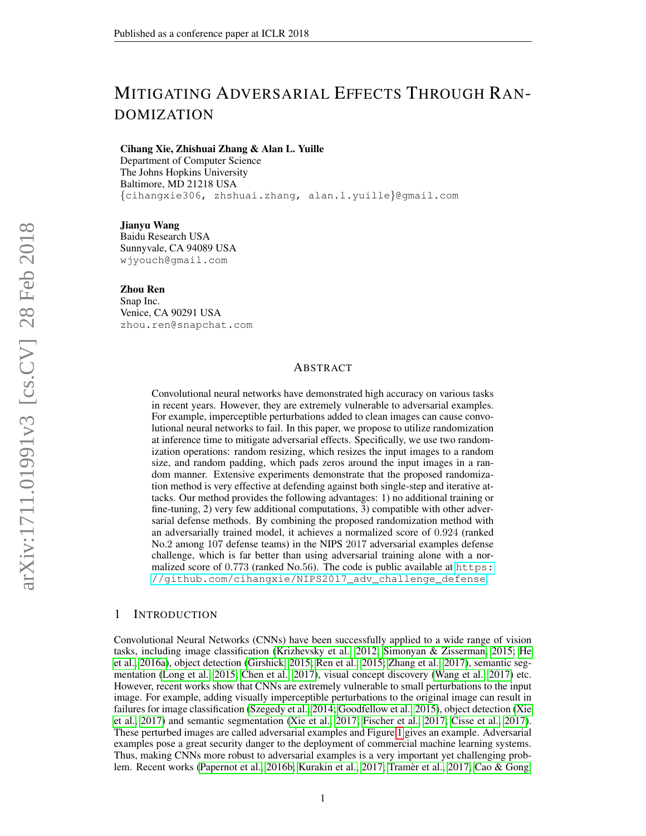# MITIGATING ADVERSARIAL EFFECTS THROUGH RAN-DOMIZATION

#### Cihang Xie, Zhishuai Zhang & Alan L. Yuille

Department of Computer Science The Johns Hopkins University Baltimore, MD 21218 USA {cihangxie306, zhshuai.zhang, alan.l.yuille}@gmail.com

Jianyu Wang Baidu Research USA Sunnyvale, CA 94089 USA wjyouch@gmail.com

Zhou Ren Snap Inc. Venice, CA 90291 USA zhou.ren@snapchat.com

## ABSTRACT

Convolutional neural networks have demonstrated high accuracy on various tasks in recent years. However, they are extremely vulnerable to adversarial examples. For example, imperceptible perturbations added to clean images can cause convolutional neural networks to fail. In this paper, we propose to utilize randomization at inference time to mitigate adversarial effects. Specifically, we use two randomization operations: random resizing, which resizes the input images to a random size, and random padding, which pads zeros around the input images in a random manner. Extensive experiments demonstrate that the proposed randomization method is very effective at defending against both single-step and iterative attacks. Our method provides the following advantages: 1) no additional training or fine-tuning, 2) very few additional computations, 3) compatible with other adversarial defense methods. By combining the proposed randomization method with an adversarially trained model, it achieves a normalized score of 0.924 (ranked No.2 among 107 defense teams) in the NIPS 2017 adversarial examples defense challenge, which is far better than using adversarial training alone with a normalized score of 0.773 (ranked No.56). The code is public available at [https:](https://github.com/cihangxie/NIPS2017_adv_challenge_defense) [//github.com/cihangxie/NIPS2017\\_adv\\_challenge\\_defense](https://github.com/cihangxie/NIPS2017_adv_challenge_defense).

# 1 INTRODUCTION

Convolutional Neural Networks (CNNs) have been successfully applied to a wide range of vision tasks, including image classification [\(Krizhevsky et al., 2012;](#page-10-0) [Simonyan & Zisserman, 2015;](#page-10-1) [He](#page-10-2) [et al., 2016a\)](#page-10-2), object detection [\(Girshick, 2015;](#page-9-0) [Ren et al., 2015;](#page-10-3) [Zhang et al., 2017\)](#page-11-0), semantic segmentation [\(Long et al., 2015;](#page-10-4) [Chen et al., 2017\)](#page-9-1), visual concept discovery [\(Wang et al., 2017\)](#page-10-5) etc. However, recent works show that CNNs are extremely vulnerable to small perturbations to the input image. For example, adding visually imperceptible perturbations to the original image can result in failures for image classification [\(Szegedy et al., 2014;](#page-10-6) [Goodfellow et al., 2015\)](#page-10-7), object detection [\(Xie](#page-11-1) [et al., 2017\)](#page-11-1) and semantic segmentation [\(Xie et al., 2017;](#page-11-1) [Fischer et al., 2017;](#page-9-2) [Cisse et al., 2017\)](#page-9-3). These perturbed images are called adversarial examples and Figure [1](#page-1-0) gives an example. Adversarial examples pose a great security danger to the deployment of commercial machine learning systems. Thus, making CNNs more robust to adversarial examples is a very important yet challenging problem. Recent works [\(Papernot et al., 2016b;](#page-10-8) [Kurakin et al., 2017;](#page-10-9) [Tramer et al., 2017;](#page-10-10) [Cao & Gong,](#page-9-4) `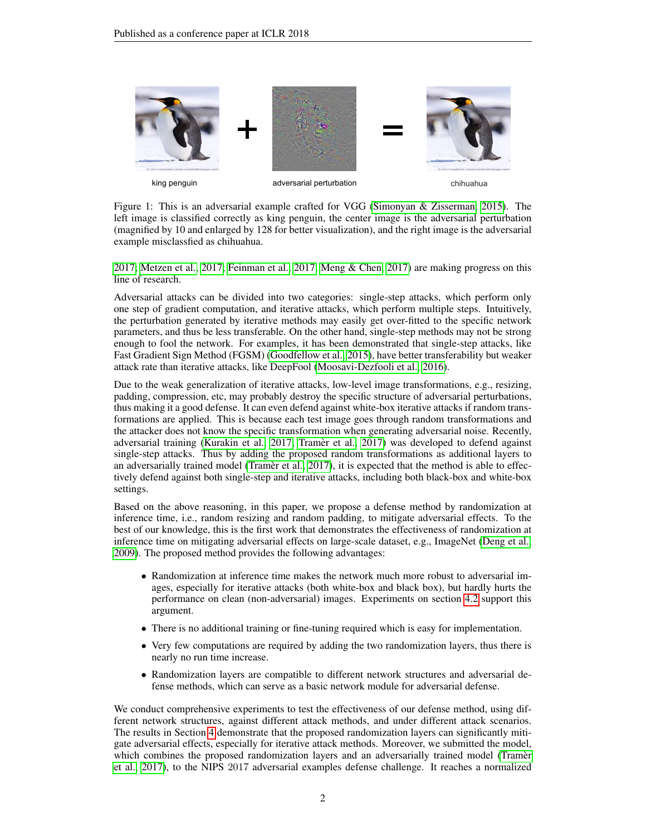

<span id="page-1-0"></span>Figure 1: This is an adversarial example crafted for VGG [\(Simonyan & Zisserman, 2015\)](#page-10-1). The left image is classified correctly as king penguin, the center image is the adversarial perturbation (magnified by 10 and enlarged by 128 for better visualization), and the right image is the adversarial example misclassfied as chihuahua.

[2017;](#page-9-4) [Metzen et al., 2017;](#page-10-11) [Feinman et al., 2017;](#page-9-5) [Meng & Chen, 2017\)](#page-10-12) are making progress on this line of research.

Adversarial attacks can be divided into two categories: single-step attacks, which perform only one step of gradient computation, and iterative attacks, which perform multiple steps. Intuitively, the perturbation generated by iterative methods may easily get over-fitted to the specific network parameters, and thus be less transferable. On the other hand, single-step methods may not be strong enough to fool the network. For examples, it has been demonstrated that single-step attacks, like Fast Gradient Sign Method (FGSM) [\(Goodfellow et al., 2015\)](#page-10-7), have better transferability but weaker attack rate than iterative attacks, like DeepFool [\(Moosavi-Dezfooli et al., 2016\)](#page-10-13).

Due to the weak generalization of iterative attacks, low-level image transformations, e.g., resizing, padding, compression, etc, may probably destroy the specific structure of adversarial perturbations, thus making it a good defense. It can even defend against white-box iterative attacks if random transformations are applied. This is because each test image goes through random transformations and the attacker does not know the specific transformation when generating adversarial noise. Recently, adversarial training [\(Kurakin et al., 2017;](#page-10-9) [Tramer et al., 2017\)](#page-10-10) was developed to defend against ` single-step attacks. Thus by adding the proposed random transformations as additional layers to an adversarially trained model [\(Tramer et al., 2017\)](#page-10-10), it is expected that the method is able to effectively defend against both single-step and iterative attacks, including both black-box and white-box settings.

Based on the above reasoning, in this paper, we propose a defense method by randomization at inference time, i.e., random resizing and random padding, to mitigate adversarial effects. To the best of our knowledge, this is the first work that demonstrates the effectiveness of randomization at inference time on mitigating adversarial effects on large-scale dataset, e.g., ImageNet [\(Deng et al.,](#page-9-6) [2009\)](#page-9-6). The proposed method provides the following advantages:

- Randomization at inference time makes the network much more robust to adversarial images, especially for iterative attacks (both white-box and black box), but hardly hurts the performance on clean (non-adversarial) images. Experiments on section [4.2](#page-5-0) support this argument.
- There is no additional training or fine-tuning required which is easy for implementation.
- Very few computations are required by adding the two randomization layers, thus there is nearly no run time increase.
- Randomization layers are compatible to different network structures and adversarial defense methods, which can serve as a basic network module for adversarial defense.

We conduct comprehensive experiments to test the effectiveness of our defense method, using different network structures, against different attack methods, and under different attack scenarios. The results in Section [4](#page-4-0) demonstrate that the proposed randomization layers can significantly mitigate adversarial effects, especially for iterative attack methods. Moreover, we submitted the model, which combines the proposed randomization layers and an adversarially trained model (Tramer [et al., 2017\)](#page-10-10), to the NIPS 2017 adversarial examples defense challenge. It reaches a normalized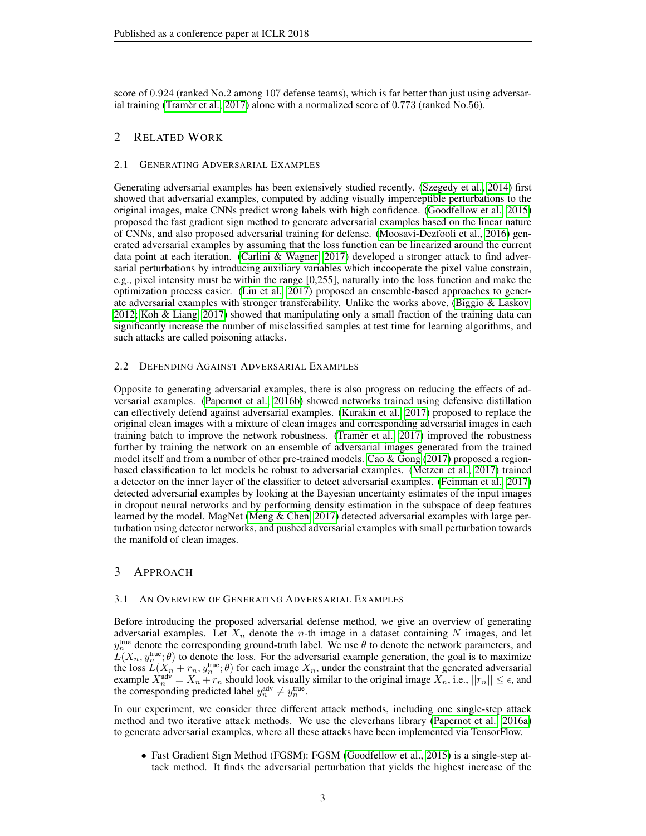score of 0.924 (ranked No.2 among 107 defense teams), which is far better than just using adversar-ial training [\(Tramer et al., 2017\)](#page-10-10) alone with a normalized score of  $0.773$  (ranked No.56).

# 2 RELATED WORK

## 2.1 GENERATING ADVERSARIAL EXAMPLES

Generating adversarial examples has been extensively studied recently. [\(Szegedy et al., 2014\)](#page-10-6) first showed that adversarial examples, computed by adding visually imperceptible perturbations to the original images, make CNNs predict wrong labels with high confidence. [\(Goodfellow et al., 2015\)](#page-10-7) proposed the fast gradient sign method to generate adversarial examples based on the linear nature of CNNs, and also proposed adversarial training for defense. [\(Moosavi-Dezfooli et al., 2016\)](#page-10-13) generated adversarial examples by assuming that the loss function can be linearized around the current data point at each iteration. [\(Carlini & Wagner, 2017\)](#page-9-7) developed a stronger attack to find adversarial perturbations by introducing auxiliary variables which incooperate the pixel value constrain, e.g., pixel intensity must be within the range [0,255], naturally into the loss function and make the optimization process easier. [\(Liu et al., 2017\)](#page-10-14) proposed an ensemble-based approaches to generate adversarial examples with stronger transferability. Unlike the works above, [\(Biggio & Laskov,](#page-9-8) [2012;](#page-9-8) [Koh & Liang, 2017\)](#page-10-15) showed that manipulating only a small fraction of the training data can significantly increase the number of misclassified samples at test time for learning algorithms, and such attacks are called poisoning attacks.

## 2.2 DEFENDING AGAINST ADVERSARIAL EXAMPLES

Opposite to generating adversarial examples, there is also progress on reducing the effects of adversarial examples. [\(Papernot et al., 2016b\)](#page-10-8) showed networks trained using defensive distillation can effectively defend against adversarial examples. [\(Kurakin et al., 2017\)](#page-10-9) proposed to replace the original clean images with a mixture of clean images and corresponding adversarial images in each training batch to improve the network robustness. [\(Tramer et al., 2017\)](#page-10-10) improved the robustness ` further by training the network on an ensemble of adversarial images generated from the trained model itself and from a number of other pre-trained models. [Cao & Gong](#page-9-4) [\(2017\)](#page-9-4) proposed a regionbased classification to let models be robust to adversarial examples. [\(Metzen et al., 2017\)](#page-10-11) trained a detector on the inner layer of the classifier to detect adversarial examples. [\(Feinman et al., 2017\)](#page-9-5) detected adversarial examples by looking at the Bayesian uncertainty estimates of the input images in dropout neural networks and by performing density estimation in the subspace of deep features learned by the model. MagNet [\(Meng & Chen, 2017\)](#page-10-12) detected adversarial examples with large perturbation using detector networks, and pushed adversarial examples with small perturbation towards the manifold of clean images.

# 3 APPROACH

## 3.1 AN OVERVIEW OF GENERATING ADVERSARIAL EXAMPLES

Before introducing the proposed adversarial defense method, we give an overview of generating adversarial examples. Let  $X_n$  denote the *n*-th image in a dataset containing N images, and let  $y_n^{\text{true}}$  denote the corresponding ground-truth label. We use  $\theta$  to denote the network parameters, and  $L(X_n, y_n^{\text{true}}; \theta)$  to denote the loss. For the adversarial example generation, the goal is to maximize the loss  $L(X_n + r_n, y_n^{\text{true}}; \theta)$  for each image  $X_n$ , under the constraint that the generated adversarial example  $X_n^{\text{adv}} = X_n + r_n$  should look visually similar to the original image  $X_n$ , i.e.,  $||r_n|| \leq \epsilon$ , and the corresponding predicted label  $y_n^{\text{adv}} \neq y_n^{\text{true}}$ .

In our experiment, we consider three different attack methods, including one single-step attack method and two iterative attack methods. We use the cleverhans library [\(Papernot et al., 2016a\)](#page-10-16) to generate adversarial examples, where all these attacks have been implemented via TensorFlow.

• Fast Gradient Sign Method (FGSM): FGSM [\(Goodfellow et al., 2015\)](#page-10-7) is a single-step attack method. It finds the adversarial perturbation that yields the highest increase of the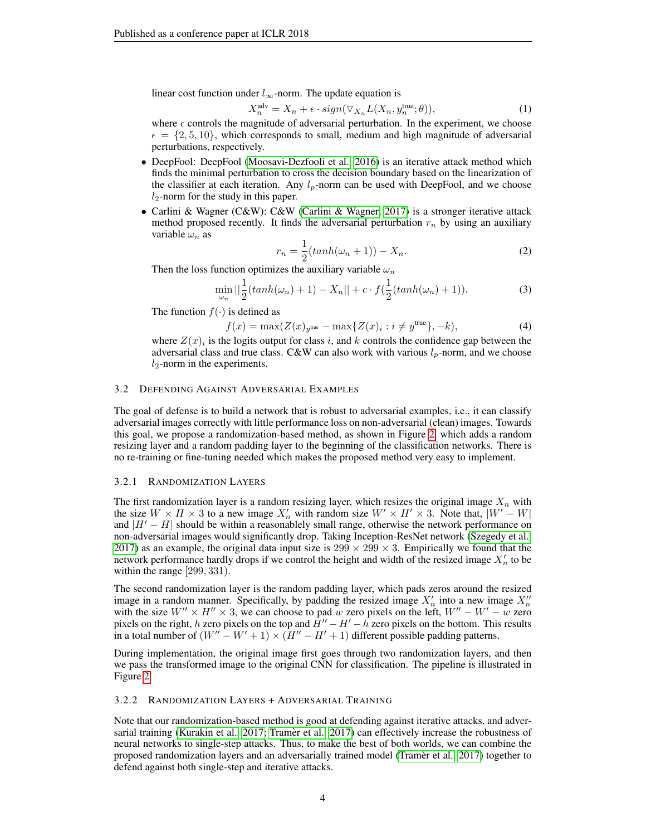linear cost function under  $l_{\infty}$ -norm. The update equation is

$$
X_n^{\text{adv}} = X_n + \epsilon \cdot sign(\nabla_{X_n} L(X_n, y_n^{\text{true}}; \theta)), \tag{1}
$$

where  $\epsilon$  controls the magnitude of adversarial perturbation. In the experiment, we choose  $\epsilon = \{2, 5, 10\}$ , which corresponds to small, medium and high magnitude of adversarial perturbations, respectively.

- DeepFool: DeepFool [\(Moosavi-Dezfooli et al., 2016\)](#page-10-13) is an iterative attack method which finds the minimal perturbation to cross the decision boundary based on the linearization of the classifier at each iteration. Any  $l_p$ -norm can be used with DeepFool, and we choose  $l_2$ -norm for the study in this paper.
- Carlini & Wagner (C&W): C&W [\(Carlini & Wagner, 2017\)](#page-9-7) is a stronger iterative attack method proposed recently. It finds the adversarial perturbation  $r_n$  by using an auxiliary variable  $\omega_n$  as

$$
r_n = \frac{1}{2}(tanh(\omega_n + 1)) - X_n.
$$
 (2)

Then the loss function optimizes the auxiliary variable  $\omega_n$ 

$$
\min_{\omega_n} ||\frac{1}{2}(tanh(\omega_n) + 1) - X_n|| + c \cdot f(\frac{1}{2}(tanh(\omega_n) + 1)).
$$
\n(3)

The function  $f(\cdot)$  is defined as

$$
f(x) = \max(Z(x))_{y^{\text{true}}} - \max\{Z(x)_i : i \neq y^{\text{true}}\}, -k),\tag{4}
$$

where  $Z(x)_i$  is the logits output for class i, and k controls the confidence gap between the adversarial class and true class. C&W can also work with various  $l_p$ -norm, and we choose  $l_2$ -norm in the experiments.

## 3.2 DEFENDING AGAINST ADVERSARIAL EXAMPLES

The goal of defense is to build a network that is robust to adversarial examples, i.e., it can classify adversarial images correctly with little performance loss on non-adversarial (clean) images. Towards this goal, we propose a randomization-based method, as shown in Figure [2,](#page-4-1) which adds a random resizing layer and a random padding layer to the beginning of the classification networks. There is no re-training or fine-tuning needed which makes the proposed method very easy to implement.

## 3.2.1 RANDOMIZATION LAYERS

The first randomization layer is a random resizing layer, which resizes the original image  $X_n$  with the size  $W \times H \times 3$  to a new image  $X'_n$  with random size  $W' \times H' \times 3$ . Note that,  $|W' - W|$ and  $|H'-H|$  should be within a reasonablely small range, otherwise the network performance on non-adversarial images would significantly drop. Taking Inception-ResNet network [\(Szegedy et al.,](#page-10-17) [2017\)](#page-10-17) as an example, the original data input size is  $299 \times 299 \times 3$ . Empirically we found that the network performance hardly drops if we control the height and width of the resized image  $X_n'$  to be within the range [299, 331).

The second randomization layer is the random padding layer, which pads zeros around the resized image in a random manner. Specifically, by padding the resized image  $X_n'$  into a new image  $X_n''$ with the size  $W'' \times H'' \times 3$ , we can choose to pad w zero pixels on the left,  $W'' - W' - w$  zero pixels on the right, h zero pixels on the top and  $H'' - H' - h$  zero pixels on the bottom. This results in a total number of  $(W'' - W' + 1) \times (H'' - H' + 1)$  different possible padding patterns.

During implementation, the original image first goes through two randomization layers, and then we pass the transformed image to the original CNN for classification. The pipeline is illustrated in Figure [2.](#page-4-1)

#### 3.2.2 RANDOMIZATION LAYERS + ADVERSARIAL TRAINING

Note that our randomization-based method is good at defending against iterative attacks, and adver-sarial training [\(Kurakin et al., 2017;](#page-10-9) Tramèr et al., 2017) can effectively increase the robustness of neural networks to single-step attacks. Thus, to make the best of both worlds, we can combine the proposed randomization layers and an adversarially trained model [\(Tramer et al., 2017\)](#page-10-10) together to defend against both single-step and iterative attacks.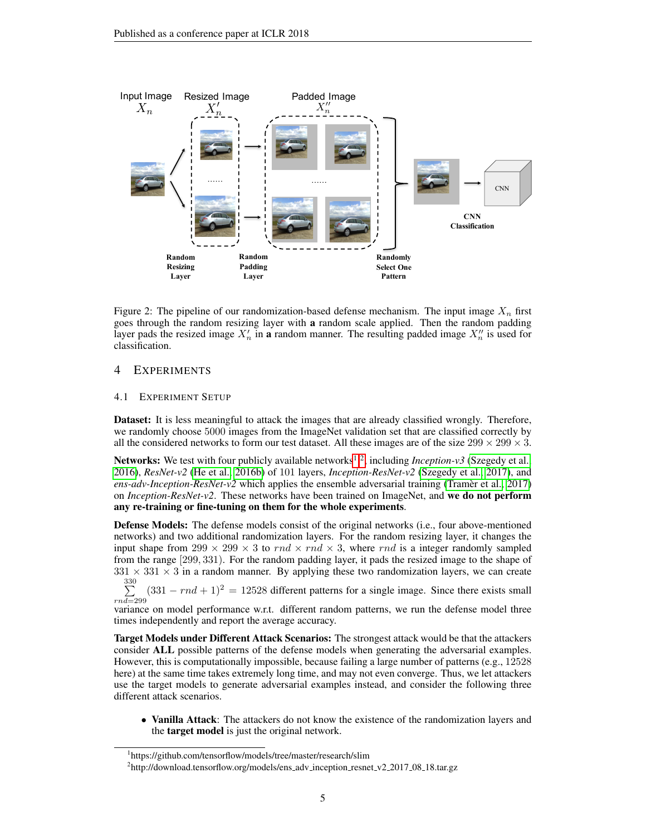

<span id="page-4-1"></span>Figure 2: The pipeline of our randomization-based defense mechanism. The input image  $X_n$  first goes through the random resizing layer with a random scale applied. Then the random padding layer pads the resized image  $X'_n$  in a random manner. The resulting padded image  $X''_n$  is used for classification.

## <span id="page-4-0"></span>4 EXPERIMENTS

## 4.1 EXPERIMENT SETUP

Dataset: It is less meaningful to attack the images that are already classified wrongly. Therefore, we randomly choose 5000 images from the ImageNet validation set that are classified correctly by all the considered networks to form our test dataset. All these images are of the size  $299 \times 299 \times 3$ .

Networks: We test with four publicly available networks<sup>[1](#page-4-2)</sup>,<sup>[2](#page-4-3)</sup>, including *Inception-v3* [\(Szegedy et al.,](#page-10-18) [2016\)](#page-10-18), *ResNet-v2* [\(He et al., 2016b\)](#page-10-19) of 101 layers, *Inception-ResNet-v2* [\(Szegedy et al., 2017\)](#page-10-17), and *ens-adv-Inception-ResNet-v2* which applies the ensemble adversarial training [\(Tramer et al., 2017\)](#page-10-10) on *Inception-ResNet-v2*. These networks have been trained on ImageNet, and we do not perform any re-training or fine-tuning on them for the whole experiments.

Defense Models: The defense models consist of the original networks (i.e., four above-mentioned networks) and two additional randomization layers. For the random resizing layer, it changes the input shape from  $299 \times 299 \times 3$  to  $rnd \times rnd \times 3$ , where rnd is a integer randomly sampled from the range [299, 331). For the random padding layer, it pads the resized image to the shape of  $331 \times 331 \times 3$  in a random manner. By applying these two randomization layers, we can create

330 P  $rnd=299$  $(331 - rnd + 1)^2 = 12528$  different patterns for a single image. Since there exists small

variance on model performance w.r.t. different random patterns, we run the defense model three times independently and report the average accuracy.

Target Models under Different Attack Scenarios: The strongest attack would be that the attackers consider ALL possible patterns of the defense models when generating the adversarial examples. However, this is computationally impossible, because failing a large number of patterns (e.g., 12528 here) at the same time takes extremely long time, and may not even converge. Thus, we let attackers use the target models to generate adversarial examples instead, and consider the following three different attack scenarios.

• Vanilla Attack: The attackers do not know the existence of the randomization layers and the target model is just the original network.

<span id="page-4-2"></span><sup>1</sup> https://github.com/tensorflow/models/tree/master/research/slim

<span id="page-4-3"></span><sup>&</sup>lt;sup>2</sup>http://download.tensorflow.org/models/ens\_adv\_inception\_resnet\_v2\_2017\_08\_18.tar.gz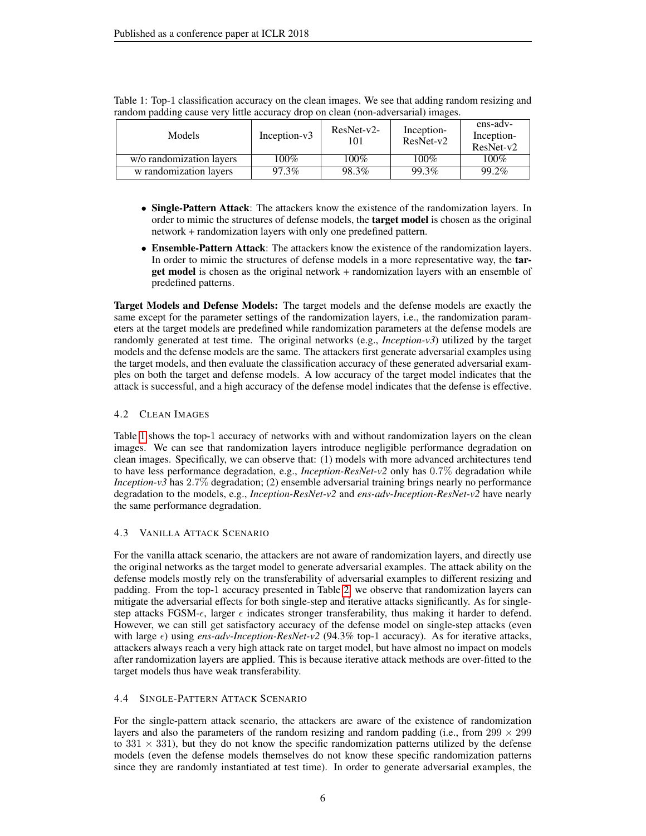| <b>Models</b>            | Inception-v3 | $ResNet-v2-$<br>101 | Inception-<br>$ResNet-v2$ | ens-adv-<br>Inception-<br>$ResNet-v2$ |
|--------------------------|--------------|---------------------|---------------------------|---------------------------------------|
| w/o randomization layers | 100%         | $100\%$             | $100\%$                   | 100%                                  |
| w randomization layers   | 97.3%        | 98.3%               | 99.3%                     | 99.2%                                 |

<span id="page-5-1"></span>Table 1: Top-1 classification accuracy on the clean images. We see that adding random resizing and random padding cause very little accuracy drop on clean (non-adversarial) images.

- Single-Pattern Attack: The attackers know the existence of the randomization layers. In order to mimic the structures of defense models, the target model is chosen as the original network + randomization layers with only one predefined pattern.
- Ensemble-Pattern Attack: The attackers know the existence of the randomization layers. In order to mimic the structures of defense models in a more representative way, the target model is chosen as the original network + randomization layers with an ensemble of predefined patterns.

Target Models and Defense Models: The target models and the defense models are exactly the same except for the parameter settings of the randomization layers, i.e., the randomization parameters at the target models are predefined while randomization parameters at the defense models are randomly generated at test time. The original networks (e.g., *Inception-v3*) utilized by the target models and the defense models are the same. The attackers first generate adversarial examples using the target models, and then evaluate the classification accuracy of these generated adversarial examples on both the target and defense models. A low accuracy of the target model indicates that the attack is successful, and a high accuracy of the defense model indicates that the defense is effective.

# <span id="page-5-0"></span>4.2 CLEAN IMAGES

Table [1](#page-5-1) shows the top-1 accuracy of networks with and without randomization layers on the clean images. We can see that randomization layers introduce negligible performance degradation on clean images. Specifically, we can observe that: (1) models with more advanced architectures tend to have less performance degradation, e.g., *Inception-ResNet-v2* only has 0.7% degradation while *Inception-v3* has 2.7% degradation; (2) ensemble adversarial training brings nearly no performance degradation to the models, e.g., *Inception-ResNet-v2* and *ens-adv-Inception-ResNet-v2* have nearly the same performance degradation.

# 4.3 VANILLA ATTACK SCENARIO

For the vanilla attack scenario, the attackers are not aware of randomization layers, and directly use the original networks as the target model to generate adversarial examples. The attack ability on the defense models mostly rely on the transferability of adversarial examples to different resizing and padding. From the top-1 accuracy presented in Table [2,](#page-6-0) we observe that randomization layers can mitigate the adversarial effects for both single-step and iterative attacks significantly. As for singlestep attacks FGSM- $\epsilon$ , larger  $\epsilon$  indicates stronger transferability, thus making it harder to defend. However, we can still get satisfactory accuracy of the defense model on single-step attacks (even with large  $\epsilon$ ) using *ens-adv-Inception-ResNet-v2* (94.3% top-1 accuracy). As for iterative attacks, attackers always reach a very high attack rate on target model, but have almost no impact on models after randomization layers are applied. This is because iterative attack methods are over-fitted to the target models thus have weak transferability.

## 4.4 SINGLE-PATTERN ATTACK SCENARIO

For the single-pattern attack scenario, the attackers are aware of the existence of randomization layers and also the parameters of the random resizing and random padding (i.e., from  $299 \times 299$ ) to  $331 \times 331$ , but they do not know the specific randomization patterns utilized by the defense models (even the defense models themselves do not know these specific randomization patterns since they are randomly instantiated at test time). In order to generate adversarial examples, the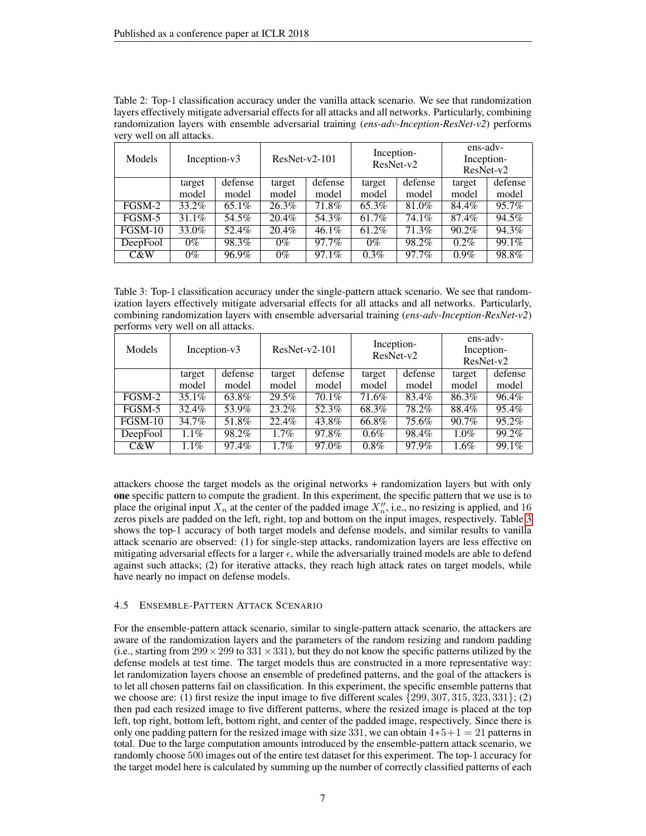<span id="page-6-0"></span>

| Table 2: Top-1 classification accuracy under the vanilla attack scenario. We see that randomization       |
|-----------------------------------------------------------------------------------------------------------|
| layers effectively mitigate adversarial effects for all attacks and all networks. Particularly, combining |
| randomization layers with ensemble adversarial training (ens-adv-Inception-ResNet-v2) performs            |
| very well on all attacks.                                                                                 |

| Models    | Inception- $v3$ |         | $ResNet-v2-101$ |          | Inception-<br>$ResNet-v2$ |         | ens-adv-<br>Inception-<br>ResNet-v2 |         |
|-----------|-----------------|---------|-----------------|----------|---------------------------|---------|-------------------------------------|---------|
|           | target          | defense | target          | defense  | target                    | defense | target                              | defense |
|           | model           | model   | model           | model    | model                     | model   | model                               | model   |
| FGSM-2    | 33.2%           | 65.1%   | 26.3%           | 71.8%    | 65.3%                     | 81.0%   | 84.4%                               | 95.7%   |
| FGSM-5    | 31.1%           | 54.5%   | 20.4%           | 54.3%    | 61.7%                     | 74.1%   | 87.4%                               | 94.5%   |
| $FGSM-10$ | 33.0%           | 52.4%   | 20.4%           | $46.1\%$ | 61.2%                     | 71.3%   | 90.2%                               | 94.3%   |
| DeepFool  | $0\%$           | 98.3%   | $0\%$           | 97.7%    | $0\%$                     | 98.2%   | $0.2\%$                             | 99.1%   |
| C&W       | $0\%$           | 96.9%   | $0\%$           | 97.1%    | $0.3\%$                   | 97.7%   | $0.9\%$                             | 98.8%   |

<span id="page-6-1"></span>Table 3: Top-1 classification accuracy under the single-pattern attack scenario. We see that randomization layers effectively mitigate adversarial effects for all attacks and all networks. Particularly, combining randomization layers with ensemble adversarial training (*ens-adv-Inception-ResNet-v2*) performs very well on all attacks.

| Models    | Inception- $v3$ |                              | $ResNet-v2-101$ |         | Inception-<br>$ResNet-v2$ |         | ens-adv-<br>Inception-<br>ResNet-v2 |         |
|-----------|-----------------|------------------------------|-----------------|---------|---------------------------|---------|-------------------------------------|---------|
|           | target          | $\overline{\text{def}}$ ense | target          | defense | target                    | defense | target                              | defense |
|           | model           | model                        | model           | model   | model                     | model   | model                               | model   |
| FGSM-2    | 35.1%           | 63.8%                        | 29.5%           | 70.1%   | 71.6%                     | 83.4%   | 86.3%                               | 96.4%   |
| FGSM-5    | 32.4%           | 53.9%                        | 23.2%           | 52.3%   | 68.3%                     | 78.2%   | 88.4%                               | 95.4%   |
| $FGSM-10$ | 34.7%           | 51.8%                        | 22.4%           | 43.8%   | 66.8%                     | 75.6%   | 90.7%                               | 95.2%   |
| DeepFool  | $1.1\%$         | 98.2%                        | $1.7\%$         | 97.8%   | $0.6\%$                   | 98.4%   | $1.0\%$                             | 99.2%   |
| C&W       | $1.1\%$         | 97.4%                        | $1.7\%$         | 97.0%   | $0.8\%$                   | 97.9%   | $1.6\%$                             | 99.1%   |

attackers choose the target models as the original networks + randomization layers but with only one specific pattern to compute the gradient. In this experiment, the specific pattern that we use is to place the original input  $X_n$  at the center of the padded image  $X_n''$ , i.e., no resizing is applied, and 16 zeros pixels are padded on the left, right, top and bottom on the input images, respectively. Table [3](#page-6-1) shows the top-1 accuracy of both target models and defense models, and similar results to vanilla attack scenario are observed: (1) for single-step attacks, randomization layers are less effective on mitigating adversarial effects for a larger  $\epsilon$ , while the adversarially trained models are able to defend against such attacks; (2) for iterative attacks, they reach high attack rates on target models, while have nearly no impact on defense models.

## <span id="page-6-2"></span>4.5 ENSEMBLE-PATTERN ATTACK SCENARIO

For the ensemble-pattern attack scenario, similar to single-pattern attack scenario, the attackers are aware of the randomization layers and the parameters of the random resizing and random padding (i.e., starting from  $299 \times 299$  to  $331 \times 331$ ), but they do not know the specific patterns utilized by the defense models at test time. The target models thus are constructed in a more representative way: let randomization layers choose an ensemble of predefined patterns, and the goal of the attackers is to let all chosen patterns fail on classification. In this experiment, the specific ensemble patterns that we choose are: (1) first resize the input image to five different scales  $\{299, 307, 315, 323, 331\}$ ; (2) then pad each resized image to five different patterns, where the resized image is placed at the top left, top right, bottom left, bottom right, and center of the padded image, respectively. Since there is only one padding pattern for the resized image with size 331, we can obtain  $4*5+1 = 21$  patterns in total. Due to the large computation amounts introduced by the ensemble-pattern attack scenario, we randomly choose 500 images out of the entire test dataset for this experiment. The top-1 accuracy for the target model here is calculated by summing up the number of correctly classified patterns of each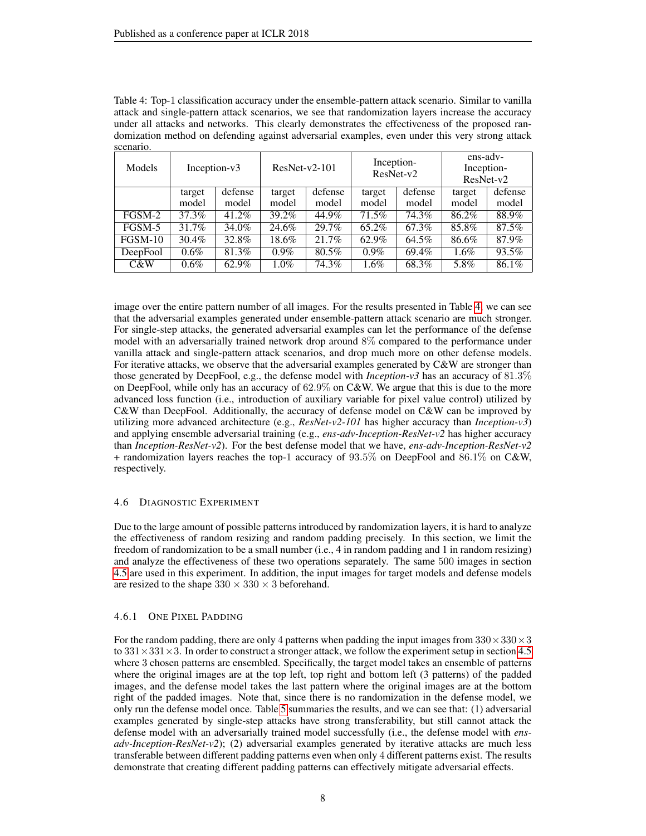<span id="page-7-0"></span>

| Table 4: Top-1 classification accuracy under the ensemble-pattern attack scenario. Similar to vanilla |
|-------------------------------------------------------------------------------------------------------|
| attack and single-pattern attack scenarios, we see that randomization layers increase the accuracy    |
| under all attacks and networks. This clearly demonstrates the effectiveness of the proposed ran-      |
| domization method on defending against adversarial examples, even under this very strong attack       |
| scenario.                                                                                             |

| Models    | Inception- $v3$ |         | $ResNet-v2-101$ |         | Inception-<br>$ResNet-v2$ |         | ens-adv-<br>Inception-<br>ResNet-v2 |         |
|-----------|-----------------|---------|-----------------|---------|---------------------------|---------|-------------------------------------|---------|
|           | target          | defense | target          | defense | target                    | defense | target                              | defense |
|           | model           | model   | model           | model   | model                     | model   | model                               | model   |
| FGSM-2    | 37.3%           | 41.2%   | 39.2%           | 44.9%   | 71.5%                     | 74.3%   | 86.2%                               | 88.9%   |
| FGSM-5    | 31.7%           | 34.0%   | 24.6%           | 29.7%   | $65.2\%$                  | 67.3%   | 85.8%                               | 87.5%   |
| $FGSM-10$ | 30.4%           | 32.8%   | 18.6%           | 21.7%   | 62.9%                     | 64.5%   | 86.6%                               | 87.9%   |
| DeepFool  | $0.6\%$         | 81.3%   | $0.9\%$         | 80.5%   | $0.9\%$                   | 69.4%   | $1.6\%$                             | 93.5%   |
| C&W       | $0.6\%$         | 62.9%   | $1.0\%$         | 74.3%   | $1.6\%$                   | 68.3%   | 5.8%                                | 86.1%   |

image over the entire pattern number of all images. For the results presented in Table [4,](#page-7-0) we can see that the adversarial examples generated under ensemble-pattern attack scenario are much stronger. For single-step attacks, the generated adversarial examples can let the performance of the defense model with an adversarially trained network drop around 8% compared to the performance under vanilla attack and single-pattern attack scenarios, and drop much more on other defense models. For iterative attacks, we observe that the adversarial examples generated by C&W are stronger than those generated by DeepFool, e.g., the defense model with *Inception-v3* has an accuracy of 81.3% on DeepFool, while only has an accuracy of  $62.9\%$  on C&W. We argue that this is due to the more advanced loss function (i.e., introduction of auxiliary variable for pixel value control) utilized by C&W than DeepFool. Additionally, the accuracy of defense model on C&W can be improved by utilizing more advanced architecture (e.g., *ResNet-v2-101* has higher accuracy than *Inception-v3*) and applying ensemble adversarial training (e.g., *ens-adv-Inception-ResNet-v2* has higher accuracy than *Inception-ResNet-v2*). For the best defense model that we have, *ens-adv-Inception-ResNet-v2* + randomization layers reaches the top-1 accuracy of  $93.5\%$  on DeepFool and  $86.1\%$  on C&W, respectively.

## 4.6 DIAGNOSTIC EXPERIMENT

Due to the large amount of possible patterns introduced by randomization layers, it is hard to analyze the effectiveness of random resizing and random padding precisely. In this section, we limit the freedom of randomization to be a small number (i.e., 4 in random padding and 1 in random resizing) and analyze the effectiveness of these two operations separately. The same 500 images in section [4.5](#page-6-2) are used in this experiment. In addition, the input images for target models and defense models are resized to the shape  $330 \times 330 \times 3$  beforehand.

## 4.6.1 ONE PIXEL PADDING

For the random padding, there are only 4 patterns when padding the input images from  $330 \times 330 \times 3$ to  $331 \times 331 \times 3$ . In order to construct a stronger attack, we follow the experiment setup in section [4.5](#page-6-2) where 3 chosen patterns are ensembled. Specifically, the target model takes an ensemble of patterns where the original images are at the top left, top right and bottom left (3 patterns) of the padded images, and the defense model takes the last pattern where the original images are at the bottom right of the padded images. Note that, since there is no randomization in the defense model, we only run the defense model once. Table [5](#page-8-0) summaries the results, and we can see that: (1) adversarial examples generated by single-step attacks have strong transferability, but still cannot attack the defense model with an adversarially trained model successfully (i.e., the defense model with *ensadv-Inception-ResNet-v2*); (2) adversarial examples generated by iterative attacks are much less transferable between different padding patterns even when only 4 different patterns exist. The results demonstrate that creating different padding patterns can effectively mitigate adversarial effects.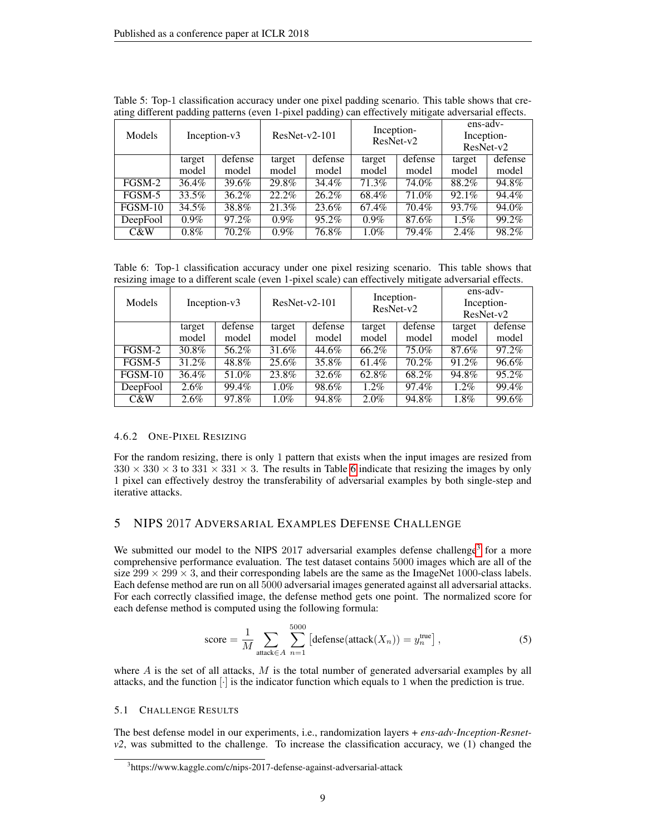| Models                     | Inception-v3 |         | $ResNet-v2-101$ |          | Inception-<br>$ResNet-v2$ |         | ens-adv-<br>Inception-<br>$ResNet-v2$ |         |
|----------------------------|--------------|---------|-----------------|----------|---------------------------|---------|---------------------------------------|---------|
|                            | target       | defense | target          | defense  | target                    | defense | target                                | defense |
|                            | model        | model   | model           | model    | model                     | model   | model                                 | model   |
| FGSM-2                     | 36.4%        | 39.6%   | 29.8%           | 34.4%    | 71.3%                     | 74.0%   | 88.2%                                 | 94.8%   |
| $\overline{\text{FGSM-5}}$ | 33.5%        | 36.2%   | $22.2\%$        | $26.2\%$ | 68.4%                     | 71.0%   | 92.1%                                 | 94.4%   |
| $FGSM-10$                  | 34.5%        | 38.8%   | 21.3%           | 23.6%    | 67.4%                     | 70.4%   | 93.7%                                 | 94.0%   |
| DeepFool                   | $0.9\%$      | 97.2%   | $0.9\%$         | 95.2%    | $0.9\%$                   | 87.6%   | $1.5\%$                               | 99.2%   |
| C&W                        | $0.8\%$      | 70.2%   | $0.9\%$         | 76.8%    | $1.0\%$                   | 79.4%   | $2.4\%$                               | 98.2%   |

<span id="page-8-0"></span>Table 5: Top-1 classification accuracy under one pixel padding scenario. This table shows that creating different padding patterns (even 1-pixel padding) can effectively mitigate adversarial effects.

<span id="page-8-1"></span>Table 6: Top-1 classification accuracy under one pixel resizing scenario. This table shows that resizing image to a different scale (even 1-pixel scale) can effectively mitigate adversarial effects.

| Models                     | Inception-v3 |         | $ResNet-v2-101$ |         | Inception-<br>$ResNet-v2$ |         | ens-adv-<br>Inception-<br>$ResNet-v2$ |         |
|----------------------------|--------------|---------|-----------------|---------|---------------------------|---------|---------------------------------------|---------|
|                            | target       | defense | target          | defense | target                    | defense | target                                | defense |
|                            | model        | model   | model           | model   | model                     | model   | model                                 | model   |
| $\overline{\text{FGSM-2}}$ | 30.8%        | 56.2%   | 31.6%           | 44.6%   | 66.2%                     | 75.0%   | 87.6%                                 | 97.2%   |
| $\overline{\text{FGSM-5}}$ | 31.2%        | 48.8%   | 25.6%           | 35.8%   | 61.4%                     | 70.2%   | 91.2%                                 | 96.6%   |
| $FGSM-10$                  | 36.4%        | 51.0%   | 23.8%           | 32.6%   | 62.8%                     | 68.2%   | 94.8%                                 | 95.2%   |
| DeepFool                   | $2.6\%$      | 99.4%   | $1.0\%$         | 98.6%   | $1.2\%$                   | 97.4%   | $1.2\%$                               | 99.4%   |
| C&W                        | $2.6\%$      | 97.8%   | $1.0\%$         | 94.8%   | 2.0%                      | 94.8%   | 1.8%                                  | 99.6%   |

## 4.6.2 ONE-PIXEL RESIZING

For the random resizing, there is only 1 pattern that exists when the input images are resized from  $330 \times 330 \times 3$  to  $331 \times 331 \times 3$ . The results in Table [6](#page-8-1) indicate that resizing the images by only 1 pixel can effectively destroy the transferability of adversarial examples by both single-step and iterative attacks.

# 5 NIPS 2017 ADVERSARIAL EXAMPLES DEFENSE CHALLENGE

We submitted our model to the NIPS  $2017$  adversarial examples defense challenge<sup>[3](#page-8-2)</sup> for a more comprehensive performance evaluation. The test dataset contains 5000 images which are all of the size  $299 \times 299 \times 3$ , and their corresponding labels are the same as the ImageNet 1000-class labels. Each defense method are run on all 5000 adversarial images generated against all adversarial attacks. For each correctly classified image, the defense method gets one point. The normalized score for each defense method is computed using the following formula:

score = 
$$
\frac{1}{M} \sum_{\text{attack} \in A} \sum_{n=1}^{5000} \left[ \text{defense}(\text{attack}(X_n)) = y_n^{\text{true}} \right],
$$
 (5)

where  $A$  is the set of all attacks,  $M$  is the total number of generated adversarial examples by all attacks, and the function [·] is the indicator function which equals to 1 when the prediction is true.

## 5.1 CHALLENGE RESULTS

The best defense model in our experiments, i.e., randomization layers + *ens-adv-Inception-Resnetv2*, was submitted to the challenge. To increase the classification accuracy, we (1) changed the

<span id="page-8-2"></span><sup>3</sup> https://www.kaggle.com/c/nips-2017-defense-against-adversarial-attack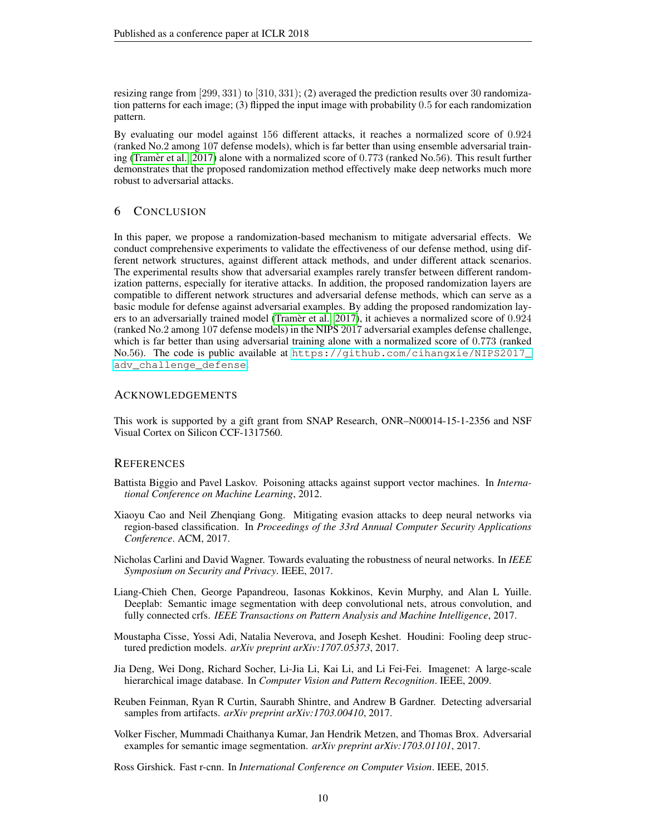resizing range from [299, 331) to [310, 331); (2) averaged the prediction results over 30 randomization patterns for each image; (3) flipped the input image with probability 0.5 for each randomization pattern.

By evaluating our model against 156 different attacks, it reaches a normalized score of 0.924 (ranked No.2 among 107 defense models), which is far better than using ensemble adversarial training (Tramer et al.,  $2017$ ) alone with a normalized score of 0.773 (ranked No.56). This result further demonstrates that the proposed randomization method effectively make deep networks much more robust to adversarial attacks.

# 6 CONCLUSION

In this paper, we propose a randomization-based mechanism to mitigate adversarial effects. We conduct comprehensive experiments to validate the effectiveness of our defense method, using different network structures, against different attack methods, and under different attack scenarios. The experimental results show that adversarial examples rarely transfer between different randomization patterns, especially for iterative attacks. In addition, the proposed randomization layers are compatible to different network structures and adversarial defense methods, which can serve as a basic module for defense against adversarial examples. By adding the proposed randomization layers to an adversarially trained model (Tramèr et al., 2017), it achieves a normalized score of 0.924 (ranked No.2 among 107 defense models) in the NIPS 2017 adversarial examples defense challenge, which is far better than using adversarial training alone with a normalized score of 0.773 (ranked No.56). The code is public available at [https://github.com/cihangxie/NIPS2017\\_](https://github.com/cihangxie/NIPS2017_adv_challenge_defense) [adv\\_challenge\\_defense](https://github.com/cihangxie/NIPS2017_adv_challenge_defense).

## ACKNOWLEDGEMENTS

This work is supported by a gift grant from SNAP Research, ONR–N00014-15-1-2356 and NSF Visual Cortex on Silicon CCF-1317560.

## **REFERENCES**

- <span id="page-9-8"></span>Battista Biggio and Pavel Laskov. Poisoning attacks against support vector machines. In *International Conference on Machine Learning*, 2012.
- <span id="page-9-4"></span>Xiaoyu Cao and Neil Zhenqiang Gong. Mitigating evasion attacks to deep neural networks via region-based classification. In *Proceedings of the 33rd Annual Computer Security Applications Conference*. ACM, 2017.
- <span id="page-9-7"></span>Nicholas Carlini and David Wagner. Towards evaluating the robustness of neural networks. In *IEEE Symposium on Security and Privacy*. IEEE, 2017.
- <span id="page-9-1"></span>Liang-Chieh Chen, George Papandreou, Iasonas Kokkinos, Kevin Murphy, and Alan L Yuille. Deeplab: Semantic image segmentation with deep convolutional nets, atrous convolution, and fully connected crfs. *IEEE Transactions on Pattern Analysis and Machine Intelligence*, 2017.
- <span id="page-9-3"></span>Moustapha Cisse, Yossi Adi, Natalia Neverova, and Joseph Keshet. Houdini: Fooling deep structured prediction models. *arXiv preprint arXiv:1707.05373*, 2017.
- <span id="page-9-6"></span>Jia Deng, Wei Dong, Richard Socher, Li-Jia Li, Kai Li, and Li Fei-Fei. Imagenet: A large-scale hierarchical image database. In *Computer Vision and Pattern Recognition*. IEEE, 2009.
- <span id="page-9-5"></span>Reuben Feinman, Ryan R Curtin, Saurabh Shintre, and Andrew B Gardner. Detecting adversarial samples from artifacts. *arXiv preprint arXiv:1703.00410*, 2017.
- <span id="page-9-2"></span>Volker Fischer, Mummadi Chaithanya Kumar, Jan Hendrik Metzen, and Thomas Brox. Adversarial examples for semantic image segmentation. *arXiv preprint arXiv:1703.01101*, 2017.

<span id="page-9-0"></span>Ross Girshick. Fast r-cnn. In *International Conference on Computer Vision*. IEEE, 2015.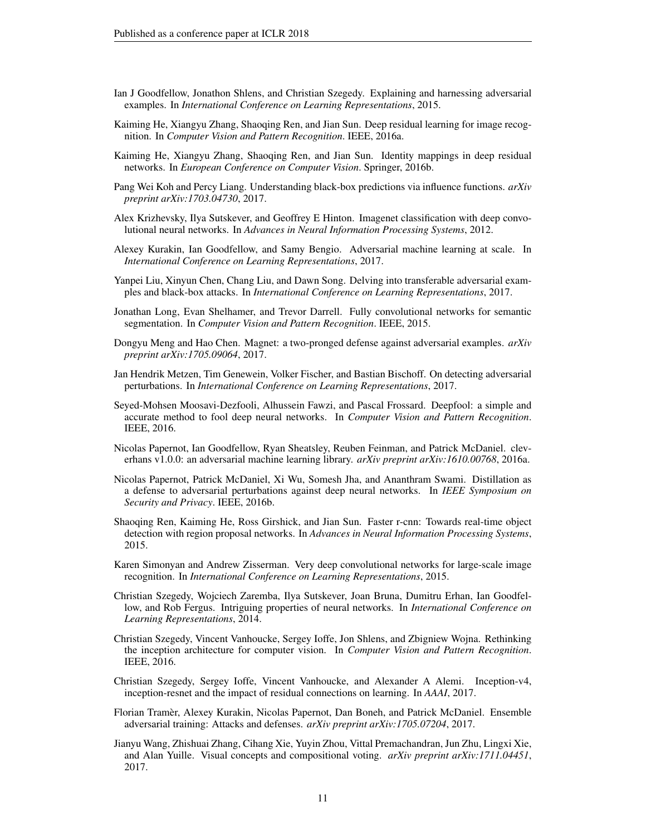- <span id="page-10-7"></span>Ian J Goodfellow, Jonathon Shlens, and Christian Szegedy. Explaining and harnessing adversarial examples. In *International Conference on Learning Representations*, 2015.
- <span id="page-10-2"></span>Kaiming He, Xiangyu Zhang, Shaoqing Ren, and Jian Sun. Deep residual learning for image recognition. In *Computer Vision and Pattern Recognition*. IEEE, 2016a.
- <span id="page-10-19"></span>Kaiming He, Xiangyu Zhang, Shaoqing Ren, and Jian Sun. Identity mappings in deep residual networks. In *European Conference on Computer Vision*. Springer, 2016b.
- <span id="page-10-15"></span>Pang Wei Koh and Percy Liang. Understanding black-box predictions via influence functions. *arXiv preprint arXiv:1703.04730*, 2017.
- <span id="page-10-0"></span>Alex Krizhevsky, Ilya Sutskever, and Geoffrey E Hinton. Imagenet classification with deep convolutional neural networks. In *Advances in Neural Information Processing Systems*, 2012.
- <span id="page-10-9"></span>Alexey Kurakin, Ian Goodfellow, and Samy Bengio. Adversarial machine learning at scale. In *International Conference on Learning Representations*, 2017.
- <span id="page-10-14"></span>Yanpei Liu, Xinyun Chen, Chang Liu, and Dawn Song. Delving into transferable adversarial examples and black-box attacks. In *International Conference on Learning Representations*, 2017.
- <span id="page-10-4"></span>Jonathan Long, Evan Shelhamer, and Trevor Darrell. Fully convolutional networks for semantic segmentation. In *Computer Vision and Pattern Recognition*. IEEE, 2015.
- <span id="page-10-12"></span>Dongyu Meng and Hao Chen. Magnet: a two-pronged defense against adversarial examples. *arXiv preprint arXiv:1705.09064*, 2017.
- <span id="page-10-11"></span>Jan Hendrik Metzen, Tim Genewein, Volker Fischer, and Bastian Bischoff. On detecting adversarial perturbations. In *International Conference on Learning Representations*, 2017.
- <span id="page-10-13"></span>Seyed-Mohsen Moosavi-Dezfooli, Alhussein Fawzi, and Pascal Frossard. Deepfool: a simple and accurate method to fool deep neural networks. In *Computer Vision and Pattern Recognition*. IEEE, 2016.
- <span id="page-10-16"></span>Nicolas Papernot, Ian Goodfellow, Ryan Sheatsley, Reuben Feinman, and Patrick McDaniel. cleverhans v1.0.0: an adversarial machine learning library. *arXiv preprint arXiv:1610.00768*, 2016a.
- <span id="page-10-8"></span>Nicolas Papernot, Patrick McDaniel, Xi Wu, Somesh Jha, and Ananthram Swami. Distillation as a defense to adversarial perturbations against deep neural networks. In *IEEE Symposium on Security and Privacy*. IEEE, 2016b.
- <span id="page-10-3"></span>Shaoqing Ren, Kaiming He, Ross Girshick, and Jian Sun. Faster r-cnn: Towards real-time object detection with region proposal networks. In *Advances in Neural Information Processing Systems*, 2015.
- <span id="page-10-1"></span>Karen Simonyan and Andrew Zisserman. Very deep convolutional networks for large-scale image recognition. In *International Conference on Learning Representations*, 2015.
- <span id="page-10-6"></span>Christian Szegedy, Wojciech Zaremba, Ilya Sutskever, Joan Bruna, Dumitru Erhan, Ian Goodfellow, and Rob Fergus. Intriguing properties of neural networks. In *International Conference on Learning Representations*, 2014.
- <span id="page-10-18"></span>Christian Szegedy, Vincent Vanhoucke, Sergey Ioffe, Jon Shlens, and Zbigniew Wojna. Rethinking the inception architecture for computer vision. In *Computer Vision and Pattern Recognition*. IEEE, 2016.
- <span id="page-10-17"></span>Christian Szegedy, Sergey Ioffe, Vincent Vanhoucke, and Alexander A Alemi. Inception-v4, inception-resnet and the impact of residual connections on learning. In *AAAI*, 2017.
- <span id="page-10-10"></span>Florian Tramer, Alexey Kurakin, Nicolas Papernot, Dan Boneh, and Patrick McDaniel. Ensemble ` adversarial training: Attacks and defenses. *arXiv preprint arXiv:1705.07204*, 2017.
- <span id="page-10-5"></span>Jianyu Wang, Zhishuai Zhang, Cihang Xie, Yuyin Zhou, Vittal Premachandran, Jun Zhu, Lingxi Xie, and Alan Yuille. Visual concepts and compositional voting. *arXiv preprint arXiv:1711.04451*, 2017.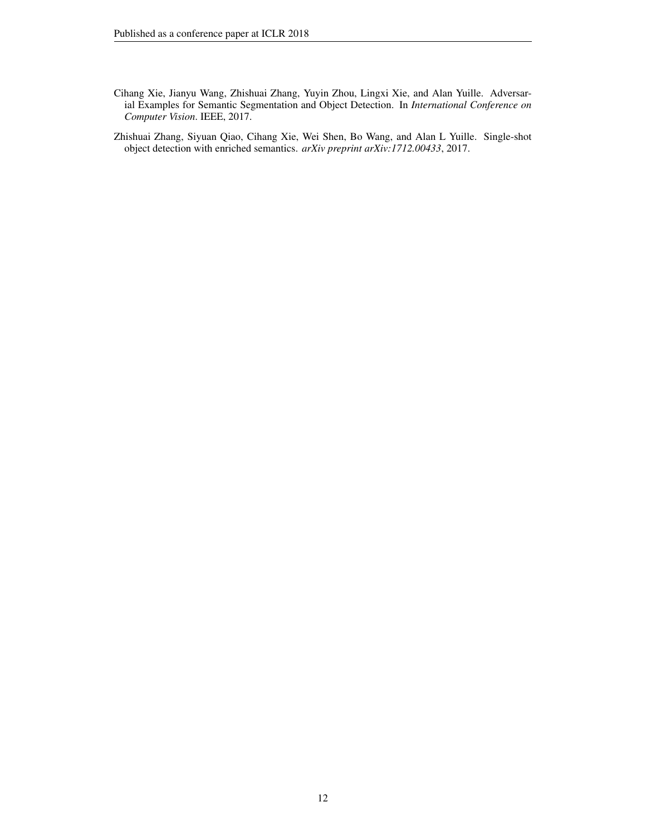<span id="page-11-1"></span>Cihang Xie, Jianyu Wang, Zhishuai Zhang, Yuyin Zhou, Lingxi Xie, and Alan Yuille. Adversarial Examples for Semantic Segmentation and Object Detection. In *International Conference on Computer Vision*. IEEE, 2017.

<span id="page-11-0"></span>Zhishuai Zhang, Siyuan Qiao, Cihang Xie, Wei Shen, Bo Wang, and Alan L Yuille. Single-shot object detection with enriched semantics. *arXiv preprint arXiv:1712.00433*, 2017.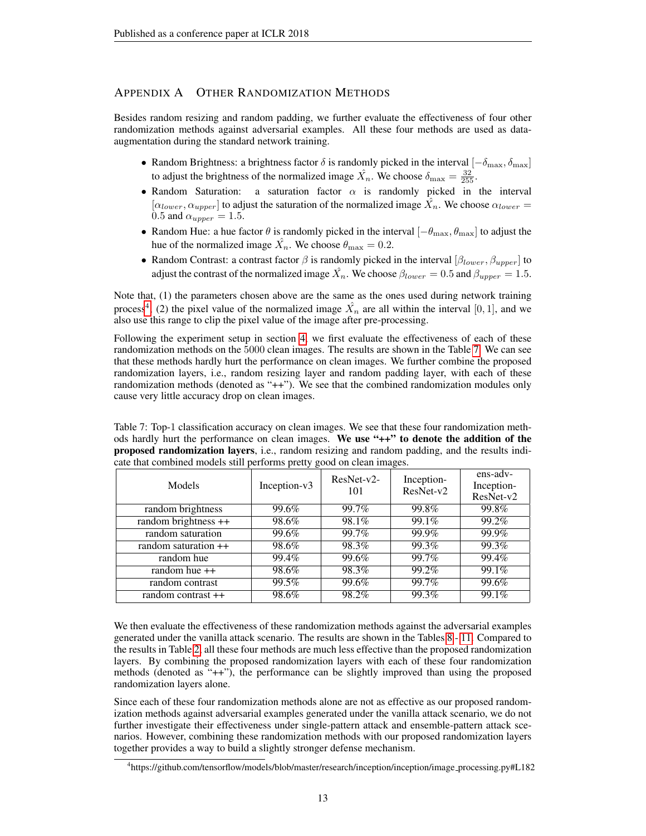# APPENDIX A OTHER RANDOMIZATION METHODS

Besides random resizing and random padding, we further evaluate the effectiveness of four other randomization methods against adversarial examples. All these four methods are used as dataaugmentation during the standard network training.

- Random Brightness: a brightness factor  $\delta$  is randomly picked in the interval  $[-\delta_{\max}, \delta_{\max}]$ to adjust the brightness of the normalized image  $\hat{X}_n$ . We choose  $\delta_{\text{max}} = \frac{32}{255}$ .
- Random Saturation: a saturation factor  $\alpha$  is randomly picked in the interval  $[\alpha_{lower}, \alpha_{upper}]$  to adjust the saturation of the normalized image  $\hat{X}_n$ . We choose  $\alpha_{lower}$ 0.5 and  $\alpha_{upper} = 1.5$ .
- Random Hue: a hue factor  $\theta$  is randomly picked in the interval  $[-\theta_{\text{max}}, \theta_{\text{max}}]$  to adjust the hue of the normalized image  $\hat{X}_n$ . We choose  $\theta_{\text{max}} = 0.2$ .
- Random Contrast: a contrast factor  $\beta$  is randomly picked in the interval  $[\beta_{lower}, \beta_{upper}]$  to adjust the contrast of the normalized image  $\hat{X_n}$ . We choose  $\beta_{lower}=0.5$  and  $\beta_{upper}=1.5$ .

Note that, (1) the parameters chosen above are the same as the ones used during network training process<sup>[4](#page-12-0)</sup>; (2) the pixel value of the normalized image  $\hat{X}_n$  are all within the interval [0, 1], and we also use this range to clip the pixel value of the image after pre-processing.

Following the experiment setup in section [4,](#page-4-0) we first evaluate the effectiveness of each of these randomization methods on the 5000 clean images. The results are shown in the Table [7.](#page-12-1) We can see that these methods hardly hurt the performance on clean images. We further combine the proposed randomization layers, i.e., random resizing layer and random padding layer, with each of these randomization methods (denoted as "++"). We see that the combined randomization modules only cause very little accuracy drop on clean images.

<span id="page-12-1"></span>Table 7: Top-1 classification accuracy on clean images. We see that these four randomization methods hardly hurt the performance on clean images. We use "++" to denote the addition of the proposed randomization layers, i.e., random resizing and random padding, and the results indicate that combined models still performs pretty good on clean images.

| Models                 | Inception-v3 | $ResNet-v2-$<br>101 | Inception-<br>$ResNet-v2$ | ens-adv-<br>Inception-<br>$ResNet-v2$ |
|------------------------|--------------|---------------------|---------------------------|---------------------------------------|
| random brightness      | 99.6%        | 99.7%               | 99.8%                     | 99.8%                                 |
| random brightness ++   | 98.6%        | 98.1%               | 99.1%                     | 99.2%                                 |
| random saturation      | 99.6%        | 99.7%               | 99.9%                     | 99.9%                                 |
| random saturation $++$ | 98.6%        | 98.3%               | 99.3%                     | 99.3%                                 |
| random hue             | 99.4%        | 99.6%               | 99.7%                     | 99.4%                                 |
| random hue $++$        | 98.6%        | 98.3%               | 99.2%                     | 99.1%                                 |
| random contrast        | 99.5%        | 99.6%               | 99.7%                     | 99.6%                                 |
| random contrast ++     | 98.6%        | 98.2%               | 99.3%                     | 99.1%                                 |

We then evaluate the effectiveness of these randomization methods against the adversarial examples generated under the vanilla attack scenario. The results are shown in the Tables [8](#page-13-0) - [11.](#page-14-0) Compared to the results in Table [2,](#page-6-0) all these four methods are much less effective than the proposed randomization layers. By combining the proposed randomization layers with each of these four randomization methods (denoted as "++"), the performance can be slightly improved than using the proposed randomization layers alone.

Since each of these four randomization methods alone are not as effective as our proposed randomization methods against adversarial examples generated under the vanilla attack scenario, we do not further investigate their effectiveness under single-pattern attack and ensemble-pattern attack scenarios. However, combining these randomization methods with our proposed randomization layers together provides a way to build a slightly stronger defense mechanism.

<span id="page-12-0"></span><sup>4</sup> https://github.com/tensorflow/models/blob/master/research/inception/inception/image processing.py#L182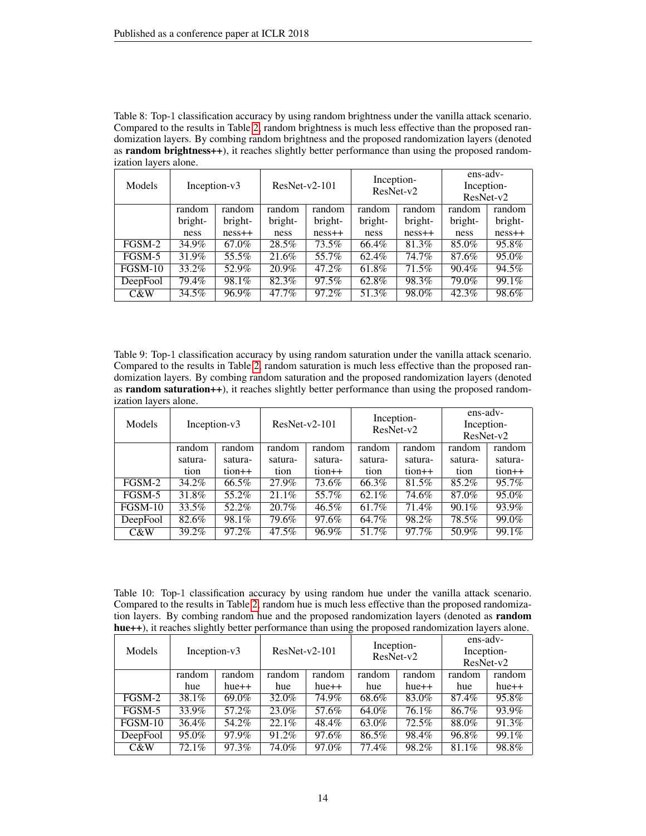<span id="page-13-0"></span>

|                                                                                                            |  |  |  | Table 8: Top-1 classification accuracy by using random brightness under the vanilla attack scenario. |  |  |  |
|------------------------------------------------------------------------------------------------------------|--|--|--|------------------------------------------------------------------------------------------------------|--|--|--|
| Compared to the results in Table 2, random brightness is much less effective than the proposed ran-        |  |  |  |                                                                                                      |  |  |  |
| domization layers. By combing random brightness and the proposed randomization layers (denoted             |  |  |  |                                                                                                      |  |  |  |
| as <b>random brightness</b> $++$ ), it reaches slightly better performance than using the proposed random- |  |  |  |                                                                                                      |  |  |  |
| ization layers alone.                                                                                      |  |  |  |                                                                                                      |  |  |  |
|                                                                                                            |  |  |  | $angle\_adv$                                                                                         |  |  |  |

| Models                      | Inception-v3 |          | $ResNet-v2-101$ |          | Inception-<br>$ResNet-v2$ |          | ens-adv-<br>Inception-<br>$ResNet-v2$ |          |
|-----------------------------|--------------|----------|-----------------|----------|---------------------------|----------|---------------------------------------|----------|
|                             | random       | random   | random          | random   | random                    | random   | random                                | random   |
|                             | bright-      | bright-  | bright-         | bright-  | bright-                   | bright-  | bright-                               | bright-  |
|                             | ness         | $ness++$ | ness            | $ness++$ | ness                      | $ness++$ | ness                                  | $ness++$ |
| FGSM-2                      | 34.9%        | 67.0%    | 28.5%           | 73.5%    | 66.4%                     | 81.3%    | 85.0%                                 | 95.8%    |
| $\overline{\text{FGSM}}$ -5 | 31.9%        | 55.5%    | 21.6%           | 55.7%    | 62.4%                     | 74.7%    | 87.6%                                 | 95.0%    |
| $FGSM-10$                   | 33.2%        | 52.9%    | 20.9%           | 47.2%    | 61.8%                     | 71.5%    | 90.4%                                 | 94.5%    |
| DeepFool                    | 79.4%        | 98.1%    | 82.3%           | 97.5%    | 62.8%                     | 98.3%    | 79.0%                                 | 99.1%    |
| C&W                         | 34.5%        | 96.9%    | 47.7%           | 97.2%    | 51.3%                     | 98.0%    | 42.3%                                 | 98.6%    |

Table 9: Top-1 classification accuracy by using random saturation under the vanilla attack scenario. Compared to the results in Table [2,](#page-6-0) random saturation is much less effective than the proposed randomization layers. By combing random saturation and the proposed randomization layers (denoted as random saturation++), it reaches slightly better performance than using the proposed randomization layers alone.

| Models    | Inception- $v3$ |          | $ResNet-v2-101$ |          | Inception-<br>$ResNet-v2$ |          | ens-adv-<br>Inception-<br>$ResNet-v2$ |          |
|-----------|-----------------|----------|-----------------|----------|---------------------------|----------|---------------------------------------|----------|
|           | random          | random   | random          | random   | random                    | random   | random                                | random   |
|           | satura-         | satura-  | satura-         | satura-  | satura-                   | satura-  | satura-                               | satura-  |
|           | tion            | $tion++$ | tion            | $tion++$ | tion                      | $tion++$ | tion                                  | $tion++$ |
| FGSM-2    | 34.2%           | 66.5%    | 27.9%           | 73.6%    | 66.3%                     | 81.5%    | 85.2%                                 | 95.7%    |
| FGSM-5    | 31.8%           | 55.2%    | $21.1\%$        | 55.7%    | $62.1\%$                  | 74.6%    | 87.0%                                 | 95.0%    |
| $FGSM-10$ | 33.5%           | 52.2%    | $20.7\%$        | $46.5\%$ | 61.7%                     | 71.4%    | $90.1\%$                              | 93.9%    |
| DeepFool  | 82.6%           | 98.1%    | 79.6%           | 97.6%    | 64.7%                     | 98.2%    | 78.5%                                 | 99.0%    |
| C&W       | 39.2%           | 97.2%    | 47.5%           | 96.9%    | 51.7%                     | 97.7%    | 50.9%                                 | $99.1\%$ |

Table 10: Top-1 classification accuracy by using random hue under the vanilla attack scenario. Compared to the results in Table [2,](#page-6-0) random hue is much less effective than the proposed randomization layers. By combing random hue and the proposed randomization layers (denoted as random hue++), it reaches slightly better performance than using the proposed randomization layers alone.

| Models    | Inception-v3 |         | $ResNet-v2-101$ |         | Inception-<br>$ResNet-v2$ |         | ens-adv-<br>Inception-<br>ResNet-v2 |         |
|-----------|--------------|---------|-----------------|---------|---------------------------|---------|-------------------------------------|---------|
|           | random       | random  | random          | random  | random                    | random  | random                              | random  |
|           | hue          | $hue++$ | hue             | $hue++$ | hue                       | $hue++$ | hue                                 | $hue++$ |
| FGSM-2    | 38.1%        | 69.0%   | 32.0%           | 74.9%   | 68.6%                     | 83.0%   | 87.4%                               | 95.8%   |
| FGSM-5    | 33.9%        | 57.2%   | 23.0%           | 57.6%   | 64.0%                     | 76.1%   | 86.7%                               | 93.9%   |
| $FGSM-10$ | 36.4%        | 54.2%   | 22.1%           | 48.4%   | 63.0%                     | 72.5%   | 88.0%                               | 91.3%   |
| DeepFool  | 95.0%        | 97.9%   | 91.2%           | 97.6%   | 86.5%                     | 98.4%   | 96.8%                               | 99.1%   |
| C&W       | 72.1%        | 97.3%   | 74.0%           | 97.0%   | 77.4%                     | 98.2%   | 81.1%                               | 98.8%   |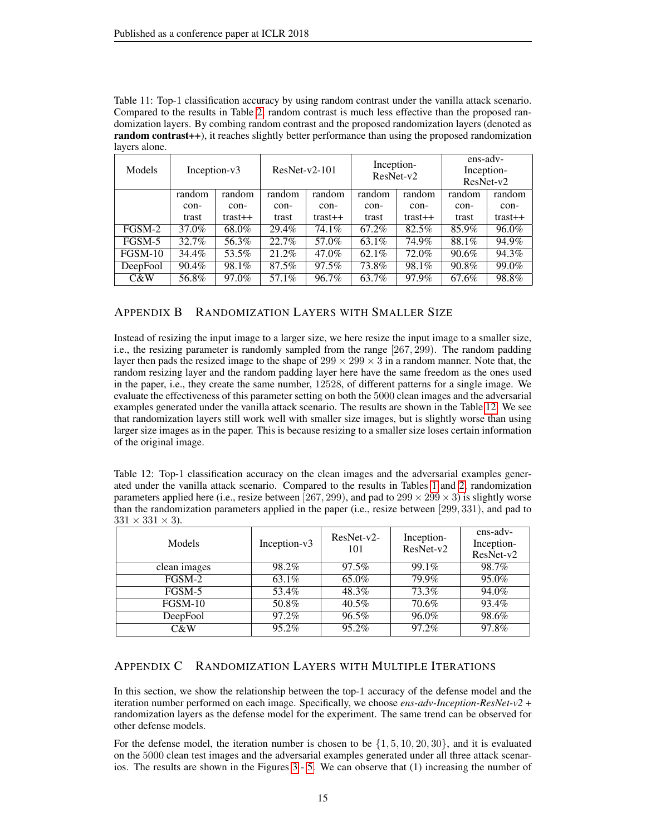<span id="page-14-0"></span>

| Table 11: Top-1 classification accuracy by using random contrast under the vanilla attack scenario.      |
|----------------------------------------------------------------------------------------------------------|
| Compared to the results in Table 2, random contrast is much less effective than the proposed ran-        |
| domization layers. By combing random contrast and the proposed randomization layers (denoted as          |
| <b>random contrast++</b> ), it reaches slightly better performance than using the proposed randomization |
| layers alone.                                                                                            |

| Models    | Inception-v3 |                  | $ResNet-v2-101$ |                  | Inception-<br>$ResNet-v2$ |                  | ens-adv-<br>Inception-<br>$ResNet-v2$ |                  |
|-----------|--------------|------------------|-----------------|------------------|---------------------------|------------------|---------------------------------------|------------------|
|           | random       | random           | random          | random           | random                    | random           | random                                | random           |
|           | $con-$       | $con-$           | $con-$          | $con-$           | $con-$                    | $con-$           | $con-$                                | $con-$           |
|           | trast        | $\text{trast}++$ | trast           | $\text{trast}++$ | trast                     | $\text{trast}++$ | trast                                 | $\text{trast++}$ |
| FGSM-2    | 37.0%        | 68.0%            | 29.4%           | 74.1%            | 67.2%                     | 82.5%            | 85.9%                                 | 96.0%            |
| FGSM-5    | 32.7%        | 56.3%            | 22.7%           | 57.0%            | 63.1%                     | 74.9%            | 88.1%                                 | 94.9%            |
| $FGSM-10$ | 34.4%        | 53.5%            | 21.2%           | 47.0%            | 62.1%                     | 72.0%            | 90.6%                                 | 94.3%            |
| DeepFool  | 90.4%        | 98.1%            | 87.5%           | 97.5%            | 73.8%                     | 98.1%            | 90.8%                                 | 99.0%            |
| C&W       | 56.8%        | 97.0%            | 57.1%           | 96.7%            | 63.7%                     | 97.9%            | 67.6%                                 | 98.8%            |

# APPENDIX B RANDOMIZATION LAYERS WITH SMALLER SIZE

Instead of resizing the input image to a larger size, we here resize the input image to a smaller size, i.e., the resizing parameter is randomly sampled from the range [267, 299). The random padding layer then pads the resized image to the shape of  $299 \times 299 \times 3$  in a random manner. Note that, the random resizing layer and the random padding layer here have the same freedom as the ones used in the paper, i.e., they create the same number, 12528, of different patterns for a single image. We evaluate the effectiveness of this parameter setting on both the 5000 clean images and the adversarial examples generated under the vanilla attack scenario. The results are shown in the Table [12.](#page-14-1) We see that randomization layers still work well with smaller size images, but is slightly worse than using larger size images as in the paper. This is because resizing to a smaller size loses certain information of the original image.

<span id="page-14-1"></span>Table 12: Top-1 classification accuracy on the clean images and the adversarial examples generated under the vanilla attack scenario. Compared to the results in Tables [1](#page-5-1) and [2,](#page-6-0) randomization parameters applied here (i.e., resize between [267, 299), and pad to  $299 \times 299 \times 3$ ) is slightly worse than the randomization parameters applied in the paper (i.e., resize between [299, 331), and pad to  $331 \times 331 \times 3$ ).

| Models       | Inception-v3 | $ResNet-v2-$<br>101 | Inception-<br>$ResNet-v2$ | ens-adv-<br>Inception-<br>ResNet-v2 |
|--------------|--------------|---------------------|---------------------------|-------------------------------------|
| clean images | 98.2%        | 97.5%               | 99.1%                     | 98.7%                               |
| FGSM-2       | 63.1%        | 65.0%               | 79.9%                     | 95.0%                               |
| FGSM-5       | 53.4%        | 48.3%               | 73.3%                     | 94.0%                               |
| $FGSM-10$    | 50.8%        | $40.5\%$            | 70.6%                     | 93.4%                               |
| DeepFool     | 97.2%        | 96.5%               | 96.0%                     | 98.6%                               |
| C&W          | 95.2%        | 95.2%               | 97.2%                     | 97.8%                               |

# APPENDIX C RANDOMIZATION LAYERS WITH MULTIPLE ITERATIONS

In this section, we show the relationship between the top-1 accuracy of the defense model and the iteration number performed on each image. Specifically, we choose *ens-adv-Inception-ResNet-v2* + randomization layers as the defense model for the experiment. The same trend can be observed for other defense models.

For the defense model, the iteration number is chosen to be  $\{1, 5, 10, 20, 30\}$ , and it is evaluated on the 5000 clean test images and the adversarial examples generated under all three attack scenarios. The results are shown in the Figures [3](#page-15-0) - [5.](#page-15-1) We can observe that (1) increasing the number of